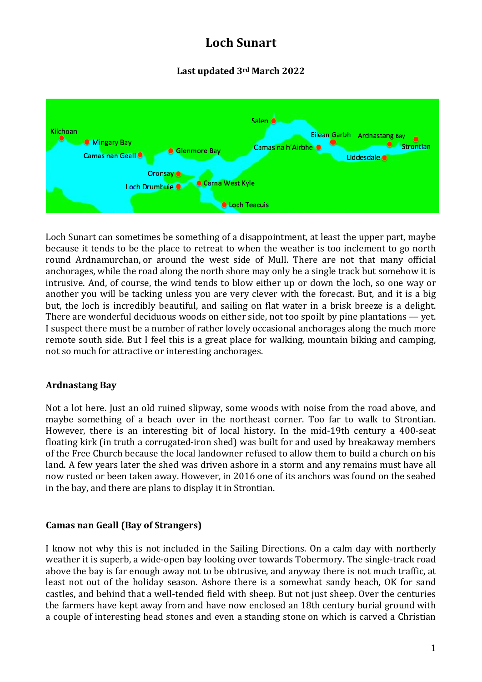# **Loch Sunart**

## **Last updated 3rd March 2022**



Loch Sunart can sometimes be something of a disappointment, at least the upper part, maybe because it tends to be the place to retreat to when the weather is too inclement to go north round Ardnamurchan, or around the west side of Mull. There are not that many official anchorages, while the road along the north shore may only be a single track but somehow it is intrusive. And, of course, the wind tends to blow either up or down the loch, so one way or another you will be tacking unless you are very clever with the forecast. But, and it is a big but, the loch is incredibly beautiful, and sailing on flat water in a brisk breeze is a delight. There are wonderful deciduous woods on either side, not too spoilt by pine plantations — yet. I suspect there must be a number of rather lovely occasional anchorages along the much more remote south side. But I feel this is a great place for walking, mountain biking and camping, not so much for attractive or interesting anchorages.

## **Ardnastang Bay**

Not a lot here. Just an old ruined slipway, some woods with noise from the road above, and maybe something of a beach over in the northeast corner. Too far to walk to Strontian. However, there is an interesting bit of local history. In the mid-19th century a 400-seat floating kirk (in truth a corrugated-iron shed) was built for and used by breakaway members of the Free Church because the local landowner refused to allow them to build a church on his land. A few years later the shed was driven ashore in a storm and any remains must have all now rusted or been taken away. However, in 2016 one of its anchors was found on the seabed in the bay, and there are plans to display it in Strontian.

## **Camas nan Geall (Bay of Strangers)**

I know not why this is not included in the Sailing Directions. On a calm day with northerly weather it is superb, a wide-open bay looking over towards Tobermory. The single-track road above the bay is far enough away not to be obtrusive, and anyway there is not much traffic, at least not out of the holiday season. Ashore there is a somewhat sandy beach, OK for sand castles, and behind that a well-tended field with sheep. But not just sheep. Over the centuries the farmers have kept away from and have now enclosed an 18th century burial ground with a couple of interesting head stones and even a standing stone on which is carved a Christian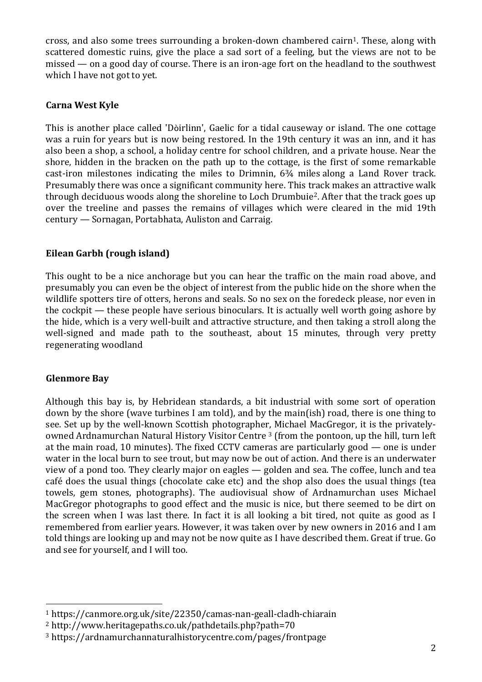cross, and also some trees surrounding a broken-down chambered cairn1. These, along with scattered domestic ruins, give the place a sad sort of a feeling, but the views are not to be missed — on a good day of course. There is an iron-age fort on the headland to the southwest which I have not got to yet.

## **Carna West Kyle**

This is another place called 'Dòirlinn', Gaelic for a tidal causeway or island. The one cottage was a ruin for years but is now being restored. In the 19th century it was an inn, and it has also been a shop, a school, a holiday centre for school children, and a private house. Near the shore, hidden in the bracken on the path up to the cottage, is the first of some remarkable cast-iron milestones indicating the miles to Drimnin, 6¾ miles along a Land Rover track. Presumably there was once a significant community here. This track makes an attractive walk through deciduous woods along the shoreline to Loch Drumbuie<sup>2</sup>. After that the track goes up over the treeline and passes the remains of villages which were cleared in the mid 19th century — Sornagan, Portabhata, Auliston and Carraig.

## **Eilean Garbh (rough island)**

This ought to be a nice anchorage but you can hear the traffic on the main road above, and presumably you can even be the object of interest from the public hide on the shore when the wildlife spotters tire of otters, herons and seals. So no sex on the foredeck please, nor even in the cockpit — these people have serious binoculars. It is actually well worth going ashore by the hide, which is a very well-built and attractive structure, and then taking a stroll along the well-signed and made path to the southeast, about 15 minutes, through very pretty regenerating woodland

## **Glenmore Bay**

Although this bay is, by Hebridean standards, a bit industrial with some sort of operation down by the shore (wave turbines I am told), and by the main(ish) road, there is one thing to see. Set up by the well-known Scottish photographer, Michael MacGregor, it is the privatelyowned Ardnamurchan Natural History Visitor Centre<sup>3</sup> (from the pontoon, up the hill, turn left at the main road, 10 minutes). The fixed CCTV cameras are particularly good — one is under water in the local burn to see trout, but may now be out of action. And there is an underwater view of a pond too. They clearly major on eagles — golden and sea. The coffee, lunch and tea café does the usual things (chocolate cake etc) and the shop also does the usual things (tea towels, gem stones, photographs). The audiovisual show of Ardnamurchan uses Michael MacGregor photographs to good effect and the music is nice, but there seemed to be dirt on the screen when I was last there. In fact it is all looking a bit tired, not quite as good as I remembered from earlier years. However, it was taken over by new owners in 2016 and I am told things are looking up and may not be now quite as I have described them. Great if true. Go and see for yourself, and I will too.

<sup>1</sup> https://canmore.org.uk/site/22350/camas-nan-geall-cladh-chiarain

<sup>2</sup> http://www.heritagepaths.co.uk/pathdetails.php?path=70

<sup>3</sup> https://ardnamurchannaturalhistorycentre.com/pages/frontpage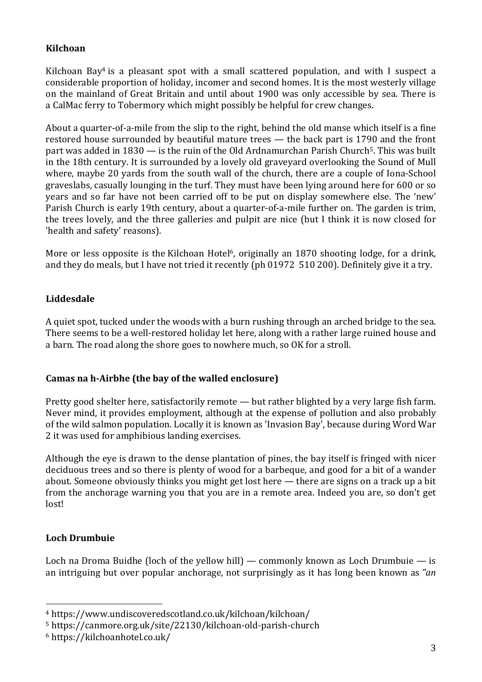### **Kilchoan**

Kilchoan Bay<sup>4</sup> is a pleasant spot with a small scattered population, and with I suspect a considerable proportion of holiday, incomer and second homes. It is the most westerly village on the mainland of Great Britain and until about 1900 was only accessible by sea. There is a CalMac ferry to Tobermory which might possibly be helpful for crew changes.

About a quarter-of-a-mile from the slip to the right, behind the old manse which itself is a fine restored house surrounded by beautiful mature trees — the back part is 1790 and the front part was added in  $1830 -$  is the ruin of the Old Ardnamurchan Parish Church<sup>5</sup>. This was built in the 18th century. It is surrounded by a lovely old graveyard overlooking the Sound of Mull where, maybe 20 yards from the south wall of the church, there are a couple of Iona-School graveslabs, casually lounging in the turf. They must have been lying around here for 600 or so years and so far have not been carried off to be put on display somewhere else. The 'new' Parish Church is early 19th century, about a quarter-of-a-mile further on. The garden is trim, the trees lovely, and the three galleries and pulpit are nice (but I think it is now closed for 'health and safety' reasons).

More or less opposite is the Kilchoan Hotel<sup>6</sup>, originally an 1870 shooting lodge, for a drink, and they do meals, but I have not tried it recently (ph 01972 510 200). Definitely give it a try.

#### **Liddesdale**

A quiet spot, tucked under the woods with a burn rushing through an arched bridge to the sea. There seems to be a well-restored holiday let here, along with a rather large ruined house and a barn. The road along the shore goes to nowhere much, so OK for a stroll.

#### **Camas na h-Airbhe (the bay of the walled enclosure)**

Pretty good shelter here, satisfactorily remote — but rather blighted by a very large fish farm. Never mind, it provides employment, although at the expense of pollution and also probably of the wild salmon population. Locally it is known as 'Invasion Bay', because during Word War 2 it was used for amphibious landing exercises.

Although the eye is drawn to the dense plantation of pines, the bay itself is fringed with nicer deciduous trees and so there is plenty of wood for a barbeque, and good for a bit of a wander about. Someone obviously thinks you might get lost here — there are signs on a track up a bit from the anchorage warning you that you are in a remote area. Indeed you are, so don't get lost!

## **Loch Drumbuie**

Loch na Droma Buidhe (loch of the yellow hill) — commonly known as Loch Drumbuie — is an intriguing but over popular anchorage, not surprisingly as it has long been known as *"an*

<sup>4</sup> https://www.undiscoveredscotland.co.uk/kilchoan/kilchoan/

<sup>5</sup> https://canmore.org.uk/site/22130/kilchoan-old-parish-church

<sup>6</sup> https://kilchoanhotel.co.uk/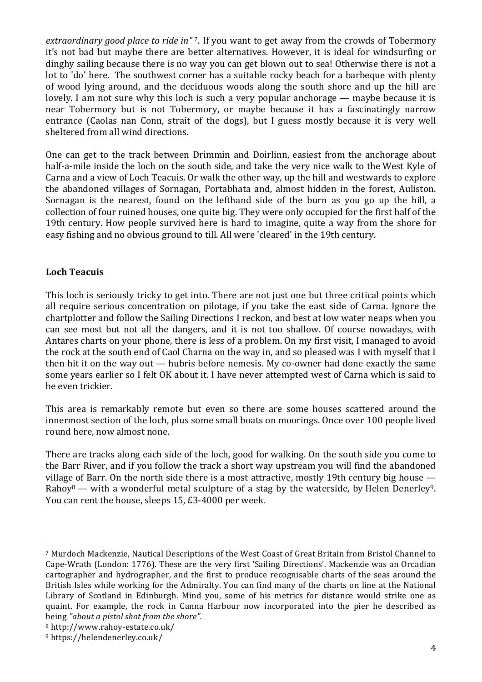*extraordinary good place to ride in"* 7. If you want to get away from the crowds of Tobermory it's not bad but maybe there are better alternatives. However, it is ideal for windsurfing or dinghy sailing because there is no way you can get blown out to sea! Otherwise there is not a lot to 'do' here. The southwest corner has a suitable rocky beach for a barbeque with plenty of wood lying around, and the deciduous woods along the south shore and up the hill are lovely. I am not sure why this loch is such a very popular anchorage — maybe because it is near Tobermory but is not Tobermory, or maybe because it has a fascinatingly narrow entrance (Caolas nan Conn, strait of the dogs), but I guess mostly because it is very well sheltered from all wind directions.

One can get to the track between Drimmin and Doirlinn, easiest from the anchorage about half-a-mile inside the loch on the south side, and take the very nice walk to the West Kyle of Carna and a view of Loch Teacuis. Or walk the other way, up the hill and westwards to explore the abandoned villages of Sornagan, Portabhata and, almost hidden in the forest, Auliston. Sornagan is the nearest, found on the lefthand side of the burn as you go up the hill, a collection of four ruined houses, one quite big. They were only occupied for the first half of the 19th century. How people survived here is hard to imagine, quite a way from the shore for easy fishing and no obvious ground to till. All were 'cleared' in the 19th century.

## **Loch Teacuis**

This loch is seriously tricky to get into. There are not just one but three critical points which all require serious concentration on pilotage, if you take the east side of Carna. Ignore the chartplotter and follow the Sailing Directions I reckon, and best at low water neaps when you can see most but not all the dangers, and it is not too shallow. Of course nowadays, with Antares charts on your phone, there is less of a problem. On my first visit, I managed to avoid the rock at the south end of Caol Charna on the way in, and so pleased was I with myself that I then hit it on the way out — hubris before nemesis. My co-owner had done exactly the same some years earlier so I felt OK about it. I have never attempted west of Carna which is said to be even trickier.

This area is remarkably remote but even so there are some houses scattered around the innermost section of the loch, plus some small boats on moorings. Once over 100 people lived round here, now almost none.

There are tracks along each side of the loch, good for walking. On the south side you come to the Barr River, and if you follow the track a short way upstream you will find the abandoned village of Barr. On the north side there is a most attractive, mostly 19th century big house — Rahoy<sup>8</sup> — with a wonderful metal sculpture of a stag by the waterside, by Helen Denerley<sup>9</sup>. You can rent the house, sleeps 15, £3-4000 per week.

<sup>&</sup>lt;sup>7</sup> Murdoch Mackenzie, Nautical Descriptions of the West Coast of Great Britain from Bristol Channel to Cape-Wrath (London: 1776). These are the very first 'Sailing Directions'. Mackenzie was an Orcadian cartographer and hydrographer, and the first to produce recognisable charts of the seas around the British Isles while working for the Admiralty. You can find many of the charts on line at the National Library of Scotland in Edinburgh. Mind you, some of his metrics for distance would strike one as quaint. For example, the rock in Canna Harbour now incorporated into the pier he described as being *"about a pistol shot from the shore".*

<sup>8</sup> http://www.rahoy-estate.co.uk/

<sup>9</sup> https://helendenerley.co.uk/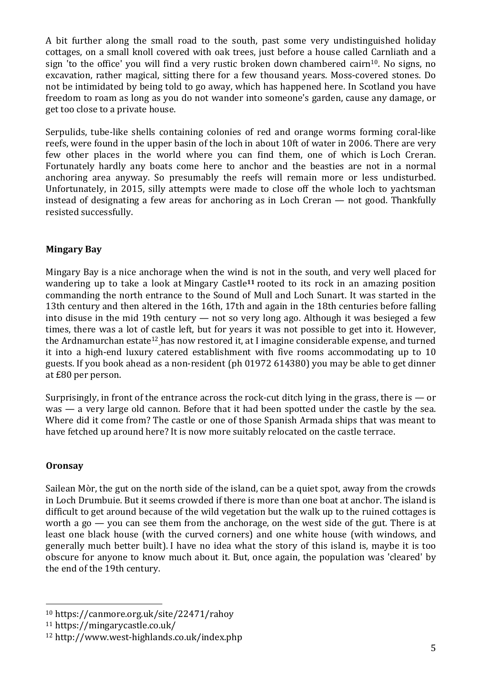A bit further along the small road to the south, past some very undistinguished holiday cottages, on a small knoll covered with oak trees, just before a house called Carnliath and a sign 'to the office' you will find a very rustic broken down chambered cairn<sup>10</sup>. No signs, no excavation, rather magical, sitting there for a few thousand years. Moss-covered stones. Do not be intimidated by being told to go away, which has happened here. In Scotland you have freedom to roam as long as you do not wander into someone's garden, cause any damage, or get too close to a private house.

Serpulids, tube-like shells containing colonies of red and orange worms forming coral-like reefs, were found in the upper basin of the loch in about 10ft of water in 2006. There are very few other places in the world where you can find them, one of which is Loch Creran. Fortunately hardly any boats come here to anchor and the beasties are not in a normal anchoring area anyway. So presumably the reefs will remain more or less undisturbed. Unfortunately, in 2015, silly attempts were made to close off the whole loch to yachtsman instead of designating a few areas for anchoring as in Loch Creran — not good. Thankfully resisted successfully.

## **Mingary Bay**

Mingary Bay is a nice anchorage when the wind is not in the south, and very well placed for wandering up to take a look at Mingary Castle**<sup>11</sup>** rooted to its rock in an amazing position commanding the north entrance to the Sound of Mull and Loch Sunart. It was started in the 13th century and then altered in the 16th, 17th and again in the 18th centuries before falling into disuse in the mid 19th century — not so very long ago. Although it was besieged a few times, there was a lot of castle left, but for years it was not possible to get into it. However, the Ardnamurchan estate<sup>12</sup> has now restored it, at I imagine considerable expense, and turned it into a high-end luxury catered establishment with five rooms accommodating up to 10 guests. If you book ahead as a non-resident (ph 01972 614380) you may be able to get dinner at £80 per person.

Surprisingly, in front of the entrance across the rock-cut ditch lying in the grass, there is  $-$  or was — a very large old cannon. Before that it had been spotted under the castle by the sea. Where did it come from? The castle or one of those Spanish Armada ships that was meant to have fetched up around here? It is now more suitably relocated on the castle terrace.

## **Oronsay**

Sailean Mòr, the gut on the north side of the island, can be a quiet spot, away from the crowds in Loch Drumbuie. But it seems crowded if there is more than one boat at anchor. The island is difficult to get around because of the wild vegetation but the walk up to the ruined cottages is worth a go  $-$  you can see them from the anchorage, on the west side of the gut. There is at least one black house (with the curved corners) and one white house (with windows, and generally much better built). I have no idea what the story of this island is, maybe it is too obscure for anyone to know much about it. But, once again, the population was 'cleared' by the end of the 19th century.

<sup>10</sup> https://canmore.org.uk/site/22471/rahoy

<sup>11</sup> https://mingarycastle.co.uk/

<sup>12</sup> http://www.west-highlands.co.uk/index.php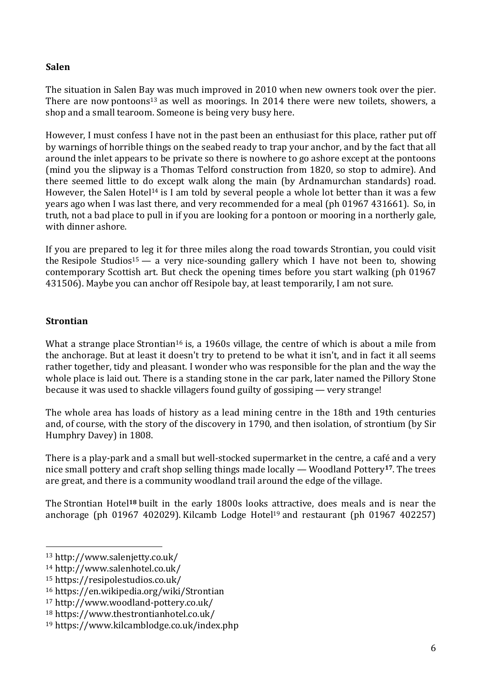#### **Salen**

The situation in Salen Bay was much improved in 2010 when new owners took over the pier. There are now pontoons<sup>13</sup> as well as moorings. In 2014 there were new toilets, showers, a shop and a small tearoom. Someone is being very busy here.

However, I must confess I have not in the past been an enthusiast for this place, rather put off by warnings of horrible things on the seabed ready to trap your anchor, and by the fact that all around the inlet appears to be private so there is nowhere to go ashore except at the pontoons (mind you the slipway is a Thomas Telford construction from 1820, so stop to admire). And there seemed little to do except walk along the main (by Ardnamurchan standards) road. However, the Salen Hotel<sup>14</sup> is I am told by several people a whole lot better than it was a few years ago when I was last there, and very recommended for a meal (ph 01967 431661). So, in truth, not a bad place to pull in if you are looking for a pontoon or mooring in a northerly gale, with dinner ashore.

If you are prepared to leg it for three miles along the road towards Strontian, you could visit the Resipole Studios<sup>15</sup> — a very nice-sounding gallery which I have not been to, showing contemporary Scottish art. But check the opening times before you start walking (ph 01967 431506). Maybe you can anchor off Resipole bay, at least temporarily, I am not sure.

## **Strontian**

What a strange place Strontian<sup>16</sup> is, a 1960s village, the centre of which is about a mile from the anchorage. But at least it doesn't try to pretend to be what it isn't, and in fact it all seems rather together, tidy and pleasant. I wonder who was responsible for the plan and the way the whole place is laid out. There is a standing stone in the car park, later named the Pillory Stone because it was used to shackle villagers found guilty of gossiping — very strange!

The whole area has loads of history as a lead mining centre in the 18th and 19th centuries and, of course, with the story of the discovery in 1790, and then isolation, of strontium (by Sir Humphry Davey) in 1808.

There is a play-park and a small but well-stocked supermarket in the centre, a café and a very nice small pottery and craft shop selling things made locally — Woodland Pottery**17**. The trees are great, and there is a community woodland trail around the edge of the village.

The Strontian Hotel**<sup>18</sup>** built in the early 1800s looks attractive, does meals and is near the anchorage (ph 01967 402029). Kilcamb Lodge Hotel<sup>19</sup> and restaurant (ph 01967 402257)

<sup>13</sup> http://www.salenjetty.co.uk/

<sup>14</sup> http://www.salenhotel.co.uk/

<sup>15</sup> https://resipolestudios.co.uk/

<sup>16</sup> https://en.wikipedia.org/wiki/Strontian

<sup>17</sup> http://www.woodland-pottery.co.uk/

<sup>18</sup> https://www.thestrontianhotel.co.uk/

<sup>19</sup> https://www.kilcamblodge.co.uk/index.php